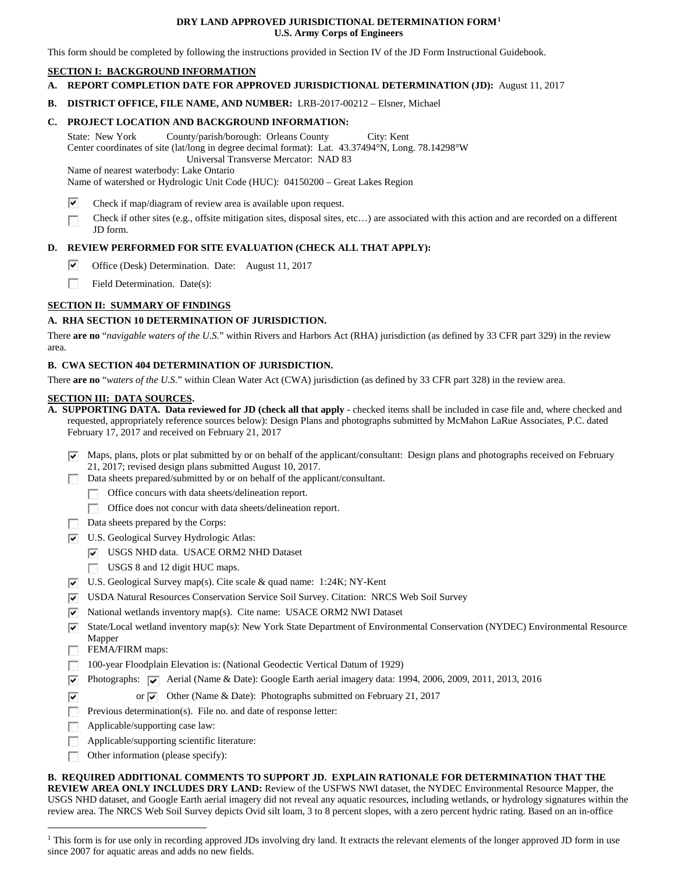### **DRY LAND APPROVED JURISDICTIONAL DETERMINATION FORM[1](#page-0-0) U.S. Army Corps of Engineers**

This form should be completed by following the instructions provided in Section IV of the JD Form Instructional Guidebook.

## **SECTION I: BACKGROUND INFORMATION**

- **A. REPORT COMPLETION DATE FOR APPROVED JURISDICTIONAL DETERMINATION (JD):** August 11, 2017
- **B. DISTRICT OFFICE, FILE NAME, AND NUMBER:** LRB-2017-00212 Elsner, Michael

## **C. PROJECT LOCATION AND BACKGROUND INFORMATION:**

State: New York County/parish/borough: Orleans County City: Kent Center coordinates of site (lat/long in degree decimal format): Lat. 43.37494°N, Long. 78.14298°W Universal Transverse Mercator: NAD 83 Name of nearest waterbody: Lake Ontario

Name of watershed or Hydrologic Unit Code (HUC): 04150200 – Great Lakes Region

- ▽ Check if map/diagram of review area is available upon request.
- Check if other sites (e.g., offsite mitigation sites, disposal sites, etc…) are associated with this action and are recorded on a different JD form.

## **D. REVIEW PERFORMED FOR SITE EVALUATION (CHECK ALL THAT APPLY):**

- ⊽ Office (Desk) Determination. Date: August 11, 2017
- $\sim$ Field Determination. Date(s):

# **SECTION II: SUMMARY OF FINDINGS**

## **A. RHA SECTION 10 DETERMINATION OF JURISDICTION.**

There **are no** "*navigable waters of the U.S.*" within Rivers and Harbors Act (RHA) jurisdiction (as defined by 33 CFR part 329) in the review area.

## **B. CWA SECTION 404 DETERMINATION OF JURISDICTION.**

There **are no** "*waters of the U.S.*" within Clean Water Act (CWA) jurisdiction (as defined by 33 CFR part 328) in the review area.

#### **SECTION III: DATA SOURCES.**

- **A. SUPPORTING DATA. Data reviewed for JD (check all that apply -** checked items shall be included in case file and, where checked and requested, appropriately reference sources below): Design Plans and photographs submitted by McMahon LaRue Associates, P.C. dated February 17, 2017 and received on February 21, 2017
	- $\triangledown$  Maps, plans, plots or plat submitted by or on behalf of the applicant/consultant: Design plans and photographs received on February 21, 2017; revised design plans submitted August 10, 2017.
	- Data sheets prepared/submitted by or on behalf of the applicant/consultant.
		- Office concurs with data sheets/delineation report.
		- Office does not concur with data sheets/delineation report.
		- Data sheets prepared by the Corps:
	- U.S. Geological Survey Hydrologic Atlas:
		- USGS NHD data. USACE ORM2 NHD Dataset
		- USGS 8 and 12 digit HUC maps.
	- U.S. Geological Survey map(s). Cite scale & quad name: 1:24K; NY-Kent
	- USDA Natural Resources Conservation Service Soil Survey. Citation: NRCS Web Soil Survey
	- $\triangledown$  National wetlands inventory map(s). Cite name: USACE ORM2 NWI Dataset
	- State/Local wetland inventory map(s): New York State Department of Environmental Conservation (NYDEC) Environmental Resource Mapper
	- FEMA/FIRM maps:

 $\overline{\mathbf{v}}$ 

- 100-year Floodplain Elevation is: (National Geodectic Vertical Datum of 1929)
- Photographs:  $\boxed{\checkmark}$  Aerial (Name & Date): Google Earth aerial imagery data: 1994, 2006, 2009, 2011, 2013, 2016
	- or  $\overline{\triangledown}$  Other (Name & Date): Photographs submitted on February 21, 2017
- **Previous determination(s).** File no. and date of response letter:
- Applicable/supporting case law: **1999**
- Applicable/supporting scientific literature: п
- $\sim$ Other information (please specify):

**B. REQUIRED ADDITIONAL COMMENTS TO SUPPORT JD. EXPLAIN RATIONALE FOR DETERMINATION THAT THE REVIEW AREA ONLY INCLUDES DRY LAND:** Review of the USFWS NWI dataset, the NYDEC Environmental Resource Mapper, the USGS NHD dataset, and Google Earth aerial imagery did not reveal any aquatic resources, including wetlands, or hydrology signatures within the

review area. The NRCS Web Soil Survey depicts Ovid silt loam, 3 to 8 percent slopes, with a zero percent hydric rating. Based on an in-office

<span id="page-0-0"></span><sup>&</sup>lt;sup>1</sup> This form is for use only in recording approved JDs involving dry land. It extracts the relevant elements of the longer approved JD form in use since 2007 for aquatic areas and adds no new fields.